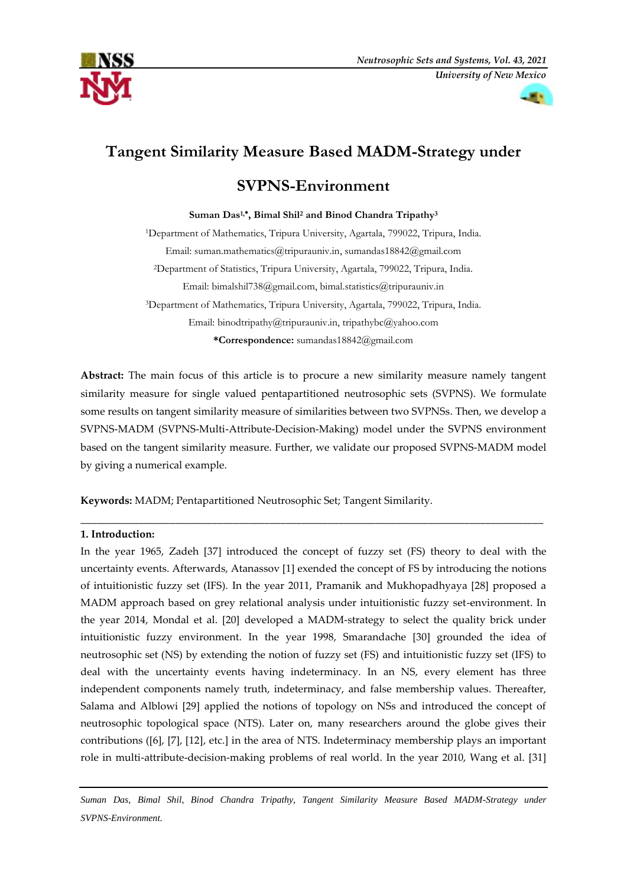



# **Tangent Similarity Measure Based MADM-Strategy under**

## **SVPNS-Environment**

## **Suman Das1, , Bimal Shil<sup>2</sup> and Binod Chandra Tripathy<sup>3</sup>**

<sup>1</sup>Department of Mathematics, Tripura University, Agartala, 799022, Tripura, India. Email[: suman.mathematics@tripurauniv.in,](mailto:1suman.mathematics@tripurauniv.in) sumandas18842@gmail.com <sup>2</sup>Department of Statistics, Tripura University, Agartala, 799022, Tripura, India. Email: [bimalshil738@gmail.com,](mailto:bimalshil738@gmail.com) [bimal.statistics@tripurauniv.in](mailto:bimal.statistics@tripurauniv.in) <sup>3</sup>Department of Mathematics, Tripura University, Agartala, 799022, Tripura, India. Email: binodtripathy@tripurauniv.in, [tripathybc@yahoo.com](mailto:tripathybc@yahoo.com)

**\*Correspondence:** sumandas18842@gmail.com

**Abstract:** The main focus of this article is to procure a new similarity measure namely tangent similarity measure for single valued pentapartitioned neutrosophic sets (SVPNS). We formulate some results on tangent similarity measure of similarities between two SVPNSs. Then, we develop a SVPNS-MADM (SVPNS-Multi-Attribute-Decision-Making) model under the SVPNS environment based on the tangent similarity measure. Further, we validate our proposed SVPNS-MADM model by giving a numerical example.

\_\_\_\_\_\_\_\_\_\_\_\_\_\_\_\_\_\_\_\_\_\_\_\_\_\_\_\_\_\_\_\_\_\_\_\_\_\_\_\_\_\_\_\_\_\_\_\_\_\_\_\_\_\_\_\_\_\_\_\_\_\_\_\_\_\_\_\_\_\_\_\_\_\_\_\_\_\_\_\_\_\_\_\_\_\_\_\_

**Keywords:** MADM; Pentapartitioned Neutrosophic Set; Tangent Similarity.

## **1. Introduction:**

In the year 1965, Zadeh [37] introduced the concept of fuzzy set (FS) theory to deal with the uncertainty events. Afterwards, Atanassov [1] exended the concept of FS by introducing the notions of intuitionistic fuzzy set (IFS). In the year 2011, Pramanik and Mukhopadhyaya [28] proposed a MADM approach based on grey relational analysis under intuitionistic fuzzy set-environment. In the year 2014, Mondal et al. [20] developed a MADM-strategy to select the quality brick under intuitionistic fuzzy environment. In the year 1998, Smarandache [30] grounded the idea of neutrosophic set (NS) by extending the notion of fuzzy set (FS) and intuitionistic fuzzy set (IFS) to deal with the uncertainty events having indeterminacy. In an NS, every element has three independent components namely truth, indeterminacy, and false membership values. Thereafter, Salama and Alblowi [29] applied the notions of topology on NSs and introduced the concept of neutrosophic topological space (NTS). Later on, many researchers around the globe gives their contributions ([6], [7], [12], etc.] in the area of NTS. Indeterminacy membership plays an important role in multi-attribute-decision-making problems of real world. In the year 2010, Wang et al. [31]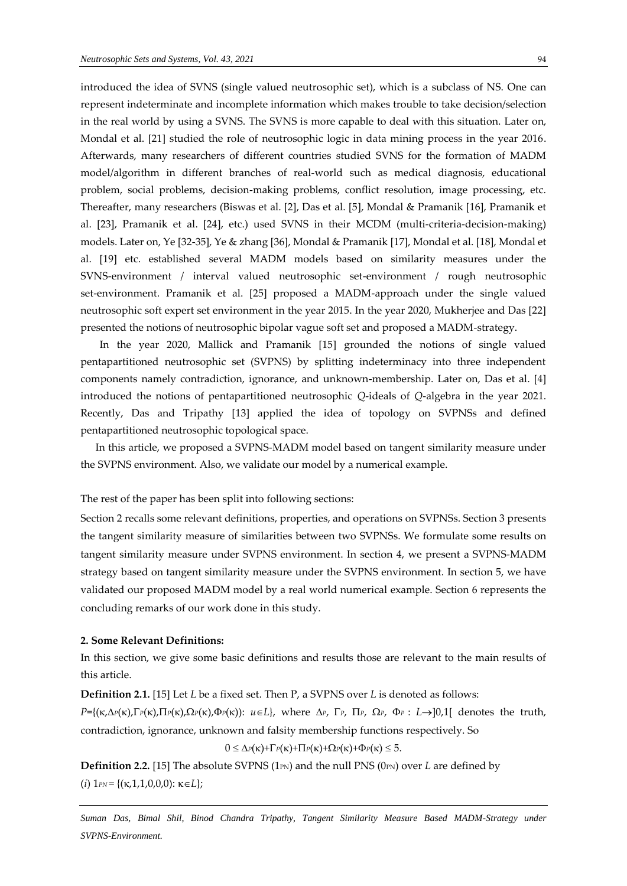introduced the idea of SVNS (single valued neutrosophic set), which is a subclass of NS. One can represent indeterminate and incomplete information which makes trouble to take decision/selection in the real world by using a SVNS. The SVNS is more capable to deal with this situation. Later on, Mondal et al. [21] studied the role of neutrosophic logic in data mining process in the year 2016. Afterwards, many researchers of different countries studied SVNS for the formation of MADM model/algorithm in different branches of real-world such as medical diagnosis, educational problem, social problems, decision-making problems, conflict resolution, image processing, etc. Thereafter, many researchers (Biswas et al. [2], Das et al. [5], Mondal & Pramanik [16], Pramanik et al. [23], Pramanik et al. [24], etc.) used SVNS in their MCDM (multi-criteria-decision-making) models. Later on, Ye [32-35], Ye & zhang [36], Mondal & Pramanik [17], Mondal et al. [18], Mondal et al. [19] etc. established several MADM models based on similarity measures under the SVNS-environment / interval valued neutrosophic set-environment / rough neutrosophic set-environment. Pramanik et al. [25] proposed a MADM-approach under the single valued neutrosophic soft expert set environment in the year 2015. In the year 2020, Mukherjee and Das [22] presented the notions of neutrosophic bipolar vague soft set and proposed a MADM-strategy.

In the year 2020, Mallick and Pramanik [15] grounded the notions of single valued pentapartitioned neutrosophic set (SVPNS) by splitting indeterminacy into three independent components namely contradiction, ignorance, and unknown-membership. Later on, Das et al. [4] introduced the notions of pentapartitioned neutrosophic *Q*-ideals of *Q*-algebra in the year 2021. Recently, Das and Tripathy [13] applied the idea of topology on SVPNSs and defined pentapartitioned neutrosophic topological space.

In this article, we proposed a SVPNS-MADM model based on tangent similarity measure under the SVPNS environment. Also, we validate our model by a numerical example.

The rest of the paper has been split into following sections:

Section 2 recalls some relevant definitions, properties, and operations on SVPNSs. Section 3 presents the tangent similarity measure of similarities between two SVPNSs. We formulate some results on tangent similarity measure under SVPNS environment. In section 4, we present a SVPNS-MADM strategy based on tangent similarity measure under the SVPNS environment. In section 5, we have validated our proposed MADM model by a real world numerical example. Section 6 represents the concluding remarks of our work done in this study.

#### **2. Some Relevant Definitions:**

In this section, we give some basic definitions and results those are relevant to the main results of this article.

**Definition 2.1.** [15] Let *L* be a fixed set. Then P, a SVPNS over *L* is denoted as follows:

 $P=\{(\kappa,\Delta_P(\kappa),\Gamma_P(\kappa),\Pi_P(\kappa),\Omega_P(\kappa),\Phi_P(\kappa))\colon u\in L\},\$  where  $\Delta_P$ ,  $\Gamma_P$ ,  $\Pi_P$ ,  $\Omega_P$ ,  $\Phi_P$ :  $L\rightarrow]0,1[$  denotes the truth, contradiction, ignorance, unknown and falsity membership functions respectively. So

 $0 \leq \Delta P(\kappa) + \Gamma P(\kappa) + \Pi P(\kappa) + \Omega P(\kappa) + \Phi P(\kappa) \leq 5.$ 

**Definition 2.2.** [15] The absolute SVPNS (1<sub>PN</sub>) and the null PNS (0<sub>PN</sub>) over *L* are defined by (*i*)  $1_{PN} = \{(\kappa,1,1,0,0,0) : \kappa \in L\};$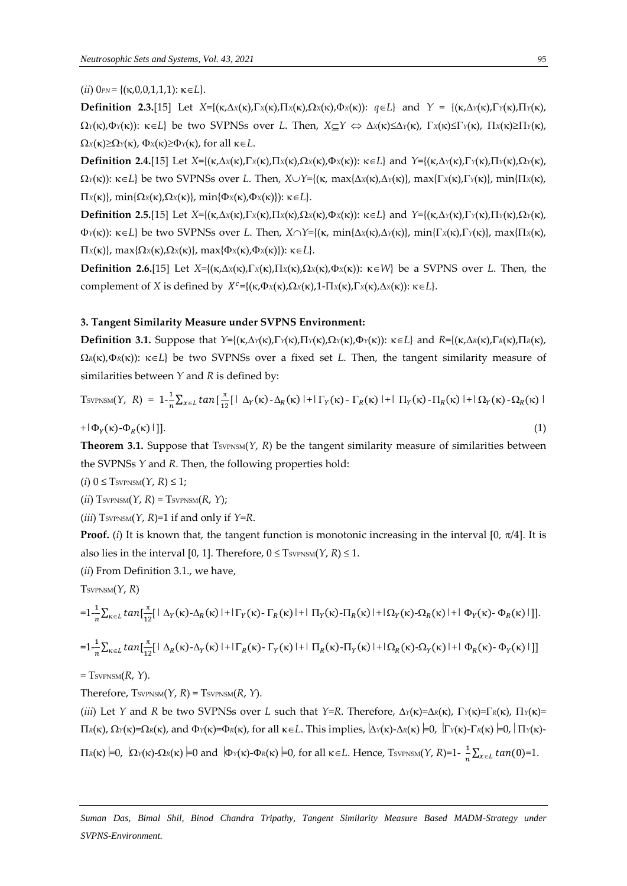### $(iii)$   $0_{PN} = \{ (\kappa, 0, 0, 1, 1, 1); \kappa \in L \}.$

**Definition 2.3.**[15] Let  $X = \{(\kappa, \Delta x(\kappa), \Gamma x(\kappa), \Omega x(\kappa), \Phi x(\kappa))\colon q \in L\}$  and  $Y = \{(\kappa, \Delta x(\kappa), \Gamma x(\kappa), \Pi x(\kappa), \Phi x(\kappa))\colon q \in L\}$  $\Omega_Y(\kappa)$ , $\Phi_Y(\kappa)$ :  $\kappa \in L$  be two SVPNSs over *L*. Then,  $X \subset Y \Leftrightarrow \Delta_X(\kappa) \leq \Delta_Y(\kappa)$ ,  $\Gamma_X(\kappa) \leq \Gamma_Y(\kappa)$ ,  $\Gamma_X(\kappa) \geq \Gamma_Y(\kappa)$ ,  $\Omega_X(\kappa) \ge \Omega_Y(\kappa)$ ,  $\Phi_X(\kappa) \ge \Phi_Y(\kappa)$ , for all  $\kappa \in L$ .

**Definition 2.4.**[15] Let  $X=\{(\kappa,\Delta x(\kappa),\Gamma x(\kappa),\Omega x(\kappa),\Phi x(\kappa))\colon \kappa\in L\}$  and  $Y=\{(\kappa,\Delta y(\kappa),\Gamma y(\kappa),\Omega y(\kappa),\Phi x(\kappa))\colon \kappa\in L\}$  $\Omega_Y(\kappa)$ :  $\kappa \in L$  be two SVPNSs over *L*. Then,  $X \cup Y = \{(\kappa, \max\{\Delta x(\kappa), \Delta y(\kappa)\}, \max\{\Gamma_X(\kappa), \Gamma y(\kappa)\}, \min\{\Pi x(\kappa), \Gamma y(\kappa)\}\}$  $\prod x(\kappa)$ , min $\{\Omega_x(\kappa), \Omega_x(\kappa)\}\)$ , min $\{\Phi_x(\kappa), \Phi_x(\kappa)\}\)$ :  $\kappa \in L\}.$ 

**Definition 2.5.**[15] Let  $X=\{(\kappa,\Delta x(\kappa),\Gamma x(\kappa),\Omega x(\kappa),\Phi x(\kappa))\colon \kappa\in L\}$  and  $Y=\{(\kappa,\Delta y(\kappa),\Gamma y(\kappa),\Omega y(\kappa),\Phi x(\kappa))\colon \kappa\in L\}$  $\Phi_Y(\kappa)$ :  $\kappa \in L$  be two SVPNSs over *L*. Then,  $X \cap Y = \{(\kappa, \min\{\Delta x(\kappa), \Delta y(\kappa)\}, \min\{\Gamma x(\kappa), \Gamma y(\kappa)\}, \max\{\Pi x(\kappa), \Gamma y(\kappa)\}\)$  $\prod x(\kappa)$ , max $\{\Omega x(\kappa), \Omega x(\kappa)\}\)$ , max $\{\Phi x(\kappa), \Phi x(\kappa)\}\)$ :  $\kappa \in L\}$ .

**Definition 2.6.**[15] Let  $X = \{(\kappa, \Delta x(\kappa), \Gamma x(\kappa), \Pi x(\kappa), \Delta x(\kappa), \Phi x(\kappa))\}$ :  $\kappa \in W\}$  be a SVPNS over *L*. Then, the complement of *X* is defined by  $X^c = \{(\kappa, \Phi_X(\kappa), \Omega_X(\kappa), 1 - \Pi_X(\kappa), \Gamma_X(\kappa), \Delta_X(\kappa)) : \kappa \in L\}.$ 

#### **3. Tangent Similarity Measure under SVPNS Environment:**

**Definition 3.1.** Suppose that  $Y = \{ (\kappa, \Delta_Y(\kappa), \Gamma_Y(\kappa), \Omega_Y(\kappa), \Phi_Y(\kappa)) : \kappa \in L \}$  and  $R = \{ (\kappa, \Delta_R(\kappa), \Gamma_R(\kappa), \Pi_R(\kappa)) \}$  $\Omega_R(\kappa)$ , $\Phi_R(\kappa)$ :  $\kappa \in L$  be two SVPNSs over a fixed set *L*. Then, the tangent similarity measure of similarities between *Y* and *R* is defined by:

T<sub>SVPNSM</sub>(Y, R) = 
$$
1-\frac{1}{n}\sum_{x\in L} tan[\frac{\pi}{12}[|\Delta_Y(\kappa) - \Delta_R(\kappa)| + |\Gamma_Y(\kappa) - \Gamma_R(\kappa)| + |\Pi_Y(\kappa) - \Pi_R(\kappa)| + |\Omega_Y(\kappa) - \Omega_R(\kappa)|
$$

 $+|\Phi_Y(\kappa)-\Phi_R(\kappa)|$ ]. (1)

**Theorem 3.1.** Suppose that  $T<sub>SVPNSM</sub>(Y, R)$  be the tangent similarity measure of similarities between the SVPNSs *Y* and *R*. Then, the following properties hold:

 $(i)$  0  $\leq$  TsvpNSM $(Y, R) \leq 1$ ;

 $(ii)$  TsvPNSM $(Y, R)$  = TsvPNSM $(R, Y)$ ;

 $(iii)$  TsvPNSM $(Y, R)$ =1 if and only if  $Y=R$ .

**Proof.** (*i*) It is known that, the tangent function is monotonic increasing in the interval [0,  $\pi/4$ ]. It is also lies in the interval [0, 1]. Therefore,  $0 \leq$  TsvPNSM(*Y*, *R*)  $\leq$  1.

(*ii*) From Definition 3.1., we have,

TSVPNSM(*Y*, *R*)

$$
=1-\frac{1}{n}\sum_{\kappa\in L}tan[\frac{\pi}{12}[|\Delta_Y(\kappa)-\Delta_R(\kappa)|+|\Gamma_Y(\kappa)-\Gamma_R(\kappa)|+|\Pi_Y(\kappa)-\Pi_R(\kappa)|+|\Omega_Y(\kappa)-\Omega_R(\kappa)|+|\Phi_Y(\kappa)-\Phi_R(\kappa)|].
$$

$$
=1-\frac{1}{n}\sum_{\kappa\in L} \tan[\frac{\pi}{12}[|\Delta_R(\kappa)-\Delta_Y(\kappa)|+|\Gamma_R(\kappa)-\Gamma_Y(\kappa)|+|\Pi_R(\kappa)-\Pi_Y(\kappa)|+|\Omega_R(\kappa)-\Omega_Y(\kappa)|+|\Phi_R(\kappa)-\Phi_Y(\kappa)|]
$$

 $=$  T<sub>SVPNSM</sub> $(R, Y)$ .

Therefore,  $T<sub>SVPNSM</sub>(Y, R) = T<sub>SVPNSM</sub>(R, Y)$ .

(*iii*) Let *Y* and *R* be two SVPNSs over *L* such that *Y*=*R*. Therefore,  $\Delta_Y(\kappa) = \Delta_R(\kappa)$ ,  $\Gamma_Y(\kappa) = \Gamma_R(\kappa)$ ,  $\Gamma_Y(\kappa) = \Gamma_R(\kappa)$  $\pi$ <sub>*R*(**k**),  $\Omega$ <sub>*Y*</sub>(**k**)= $\Omega$ *R*(**k**), and  $\Phi$ <sub>*Y*</sub>(**k**)= $\Phi$ *R*(**k**), for all **k** ∈ *L*. This implies,  $|\Delta$ <sub>*Y*</sub>(**k**)- $\Delta$ *R*(**k**)  $=0$ ,  $|\Gamma$ <sub>*Y*</sub>(**k**)  $=0$ ,  $|\Pi$ <sub>*Y*</sub>(**k**)- $\Phi$ </sub>

 $\Pi_R(\kappa) \models 0$ ,  $\Omega_Y(\kappa)$ - $\Omega_R(\kappa) \models 0$  and  $\Phi_Y(\kappa)$ - $\Phi_R(\kappa) \models 0$ , for all  $\kappa \in L$ . Hence, Tsvpnsm(*Y*, *R*)=1- $\frac{1}{\kappa}$  $\frac{1}{n}\sum_{x\in L} tan(0)=1.$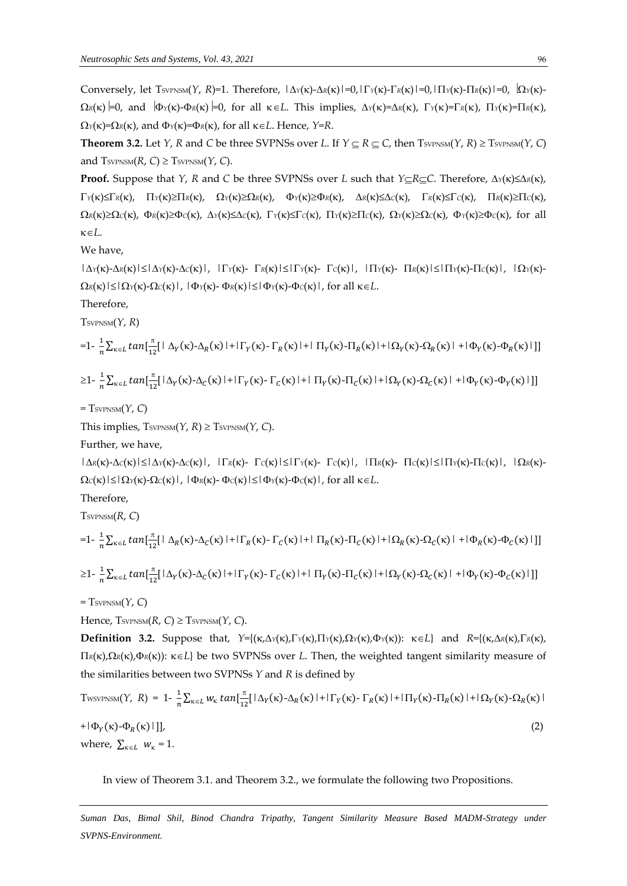Conversely, let  $T_{\text{SVPNSM}}(Y, R)=1$ . Therefore,  $|\Delta_Y(\kappa)-\Delta_R(\kappa)|=0$ ,  $|\Gamma_Y(\kappa)-\Gamma_R(\kappa)|=0$ ,  $|\Gamma_Y(\kappa)-\Gamma_R(\kappa)|=0$ ,  $|\Omega_Y(\kappa)-\Omega|$  $\Omega_R(\kappa)$  =0, and  $\Phi_Y(\kappa)$ - $\Phi_R(\kappa)$  =0, for all  $\kappa \in L$ . This implies,  $\Delta_Y(\kappa) = \Delta_R(\kappa)$ ,  $\Gamma_Y(\kappa) = \Gamma_R(\kappa)$ ,  $\Gamma_Y(\kappa) = \Pi_R(\kappa)$ ,  $\Omega_Y(\kappa) = \Omega_R(\kappa)$ , and  $\Phi_Y(\kappa) = \Phi_R(\kappa)$ , for all  $\kappa \in L$ . Hence,  $Y = R$ .

**Theorem 3.2.** Let *Y*, *R* and *C* be three SVPNSs over *L*. If  $Y \subseteq R \subseteq C$ , then  $T<sub>SVPNSM</sub>(Y, R) \ge T<sub>SVPNSM</sub>(Y, C)$ and  $T<sub>SVPNSM</sub>(R, C) \ge T<sub>SVPNSM</sub>(Y, C)$ .

**Proof.** Suppose that *Y*, *R* and *C* be three SVPNSs over *L* such that *Y*<sub>⊂</sub>*RC*. Therefore,  $\Delta_Y(\kappa) \leq \Delta_R(\kappa)$ ,  $\Gamma_Y(\kappa) \leq \Gamma_R(\kappa)$ ,  $\Gamma_Y(\kappa) \geq \Pi_R(\kappa)$ ,  $\Omega_Y(\kappa) \geq \Omega_R(\kappa)$ ,  $\Phi_Y(\kappa) \geq \Phi_R(\kappa)$ ,  $\Delta_R(\kappa) \leq \Delta_C(\kappa)$ ,  $\Gamma_R(\kappa) \leq \Gamma_C(\kappa)$ ,  $\Pi_R(\kappa) \geq \Pi_C(\kappa)$ ,  $\Omega_R(\kappa) \ge \Omega_C(\kappa)$ ,  $\Phi_R(\kappa) \ge \Phi_C(\kappa)$ ,  $\Delta_Y(\kappa) \le \Delta_C(\kappa)$ ,  $\Gamma_Y(\kappa) \le \Gamma_C(\kappa)$ ,  $\Gamma_Y(\kappa) \ge \Pi_C(\kappa)$ ,  $\Omega_Y(\kappa) \ge \Omega_C(\kappa)$ ,  $\Phi_Y(\kappa) \ge \Phi_C(\kappa)$ , for all  $\kappa \in L$ .

We have,

 $|\Delta\gamma(\kappa) - \Delta\kappa(\kappa)| \le |\Delta\gamma(\kappa) - \Delta\epsilon(\kappa)|$ ,  $|\Gamma\gamma(\kappa) - \Gamma\kappa(\kappa)| \le |\Gamma\gamma(\kappa) - \Gamma\epsilon(\kappa)|$ ,  $|\Pi\gamma(\kappa) - \Pi\kappa(\kappa)| \le |\Pi\gamma(\kappa) - \Pi\epsilon(\kappa)|$ ,  $|\Omega\gamma(\kappa) - \Gamma(\kappa)|$  $\Omega_R(\kappa)$ | $\leq$ | $\Omega_Y(\kappa)$ - $\Omega_C(\kappa)$ |, | $\Phi_Y(\kappa)$ - $\Phi_R(\kappa)$ | $\leq$ | $\Phi_Y(\kappa)$ - $\Phi_C(\kappa)$ |, for all  $\kappa \in L$ .

Therefore,

TSVPNSM(*Y*, *R*)

$$
=1-\frac{1}{n}\sum_{\kappa\in L}tan\left[\frac{\pi}{12}\left[\left(\Delta_Y(\kappa)-\Delta_R(\kappa)\right)+\left(\Gamma_Y(\kappa)-\Gamma_R(\kappa)\right)+\left(\Pi_Y(\kappa)-\Pi_R(\kappa)\right)+\left(\Omega_Y(\kappa)-\Omega_R(\kappa)\right)+\left(\Phi_Y(\kappa)-\Phi_R(\kappa)\right)\right]\right]
$$

$$
\geq 1 - \frac{1}{n} \sum_{\kappa \in L} \tan[\frac{\pi}{12} |\Delta_Y(\kappa) - \Delta_C(\kappa)| + |\Gamma_Y(\kappa) - \Gamma_C(\kappa)| + |\Pi_Y(\kappa) - \Pi_C(\kappa)| + |\Omega_Y(\kappa) - \Omega_C(\kappa)| + |\Phi_Y(\kappa) - \Phi_Y(\kappa)| ]]
$$

 $=$  Tsv<sub>PNSM</sub> $(Y, C)$ 

This implies,  $T<sub>SVPNSM</sub>(Y, R) \geq T<sub>SVPNSM</sub>(Y, C)$ .

Further, we have,

 $|\Delta_R(\kappa) - \Delta_C(\kappa)| \le |\Delta_Y(\kappa) - \Delta_C(\kappa)|$ ,  $|\Gamma_R(\kappa) - \Gamma_C(\kappa)| \le |\Gamma_Y(\kappa) - \Gamma_C(\kappa)|$ ,  $|\Pi_R(\kappa) - \Pi_C(\kappa)| \le |\Pi_Y(\kappa) - \Pi_C(\kappa)|$ ,  $|\Omega_R(\kappa) - \Gamma_C(\kappa)|$  $\Omega_C(\kappa)$ | $\leq$ | $\Omega_Y(\kappa)$ - $\Omega_C(\kappa)$ |, | $\Phi_R(\kappa)$ - $\Phi_C(\kappa)$ | $\leq$ | $\Phi_Y(\kappa)$ - $\Phi_C(\kappa)$ |, for all  $\kappa \in L$ .

Therefore,

TSVPNSM(*R*, *C*)

$$
=1-\frac{1}{n}\sum_{\kappa\in L}\tan[\frac{\pi}{12}[\Delta_R(\kappa)-\Delta_C(\kappa)+\Gamma_R(\kappa)-\Gamma_C(\kappa)]+\Gamma_R(\kappa)-\Pi_C(\kappa)+\Gamma_C(\kappa)+\Omega_R(\kappa)-\Omega_C(\kappa)]+\mathbb{I}_{\Phi_R}(\kappa)-\Phi_C(\kappa)[\Delta_R(\kappa)-\Delta_C(\kappa)]
$$

$$
\geq 1 - \frac{1}{n} \sum_{\kappa \in L} \tan\left[\frac{\pi}{12} [\Delta_Y(\kappa) - \Delta_C(\kappa) + |\Gamma_Y(\kappa) - \Gamma_C(\kappa)| + |\Pi_Y(\kappa) - \Pi_C(\kappa)| + |\Omega_Y(\kappa) - \Omega_C(\kappa)| + |\Phi_Y(\kappa) - \Phi_C(\kappa)| \right]\right]
$$

#### $=$  Tsv<sub>PNSM</sub> $(Y, C)$

Hence,  $T<sub>SVPNSM</sub>(R, C) \ge T<sub>SVPNSM</sub>(Y, C)$ .

**Definition 3.2.** Suppose that,  $Y=\{(K,\Delta Y(K),\Gamma Y(K),\Pi Y(K),\Omega Y(K),\Phi Y(K))\}$ :  $K\in\mathbb{L}\}$  and  $R=\{(K,\Delta R(K),\Gamma R(K),\Gamma(K),\Phi Y(K)\}$  $\Pi_R(\kappa)$ ,  $\Omega_R(\kappa)$ ,  $\Phi_R(\kappa)$ ):  $\kappa \in L$ } be two SVPNSs over *L*. Then, the weighted tangent similarity measure of the similarities between two SVPNSs *Y* and *R* is defined by

TwsvPNSM(Y, R) = 
$$
1 - \frac{1}{n} \sum_{\kappa \in L} w_{\kappa} \tan[\frac{\pi}{12} [\Delta_Y(\kappa) - \Delta_R(\kappa)] + |\Gamma_Y(\kappa) - \Gamma_R(\kappa)| + |\Pi_Y(\kappa) - \Pi_R(\kappa)| + |\Phi_Y(\kappa) - \Phi_R(\kappa)|]
$$
  
+  $|\Phi_Y(\kappa) - \Phi_R(\kappa)|$ ], (2)  
where,  $\sum_{\kappa \in L} w_{\kappa} = 1$ .

In view of Theorem 3.1. and Theorem 3.2., we formulate the following two Propositions.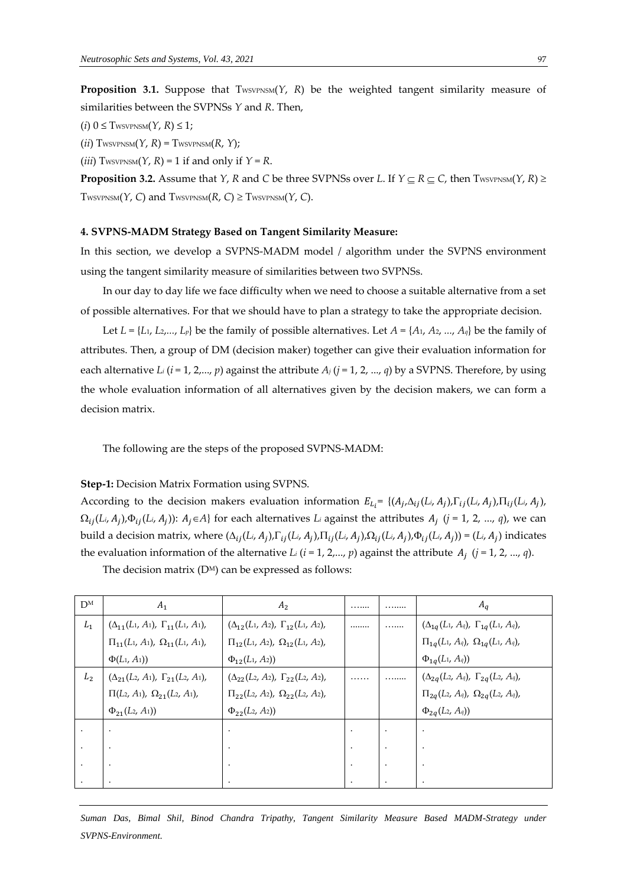**Proposition 3.1.** Suppose that  $T_{\text{WSVPNSM}}(Y, R)$  be the weighted tangent similarity measure of similarities between the SVPNSs *Y* and *R*. Then,

 $(i)$  0  $\leq$  TwsvpNSM $(Y, R) \leq 1$ ;

 $(ii)$  TwsvpNSM $(Y, R)$  = TwsvpNSM $(R, Y)$ ;

 $(iii)$  TwsvPNSM $(Y, R) = 1$  if and only if  $Y = R$ .

**Proposition 3.2.** Assume that *Y*, *R* and *C* be three SVPNSs over *L*. If  $Y \subseteq R \subseteq C$ , then TWSVPNSM(*Y*, *R*)  $\ge$ TWSVPNSM(*Y*, *C*) and TWSVPNSM(*R*, *C*)  $\ge$  TWSVPNSM(*Y*, *C*).

#### **4. SVPNS-MADM Strategy Based on Tangent Similarity Measure:**

In this section, we develop a SVPNS-MADM model / algorithm under the SVPNS environment using the tangent similarity measure of similarities between two SVPNSs.

In our day to day life we face difficulty when we need to choose a suitable alternative from a set of possible alternatives. For that we should have to plan a strategy to take the appropriate decision.

Let  $L = \{L_1, L_2, ..., L_p\}$  be the family of possible alternatives. Let  $A = \{A_1, A_2, ..., A_q\}$  be the family of attributes. Then, a group of DM (decision maker) together can give their evaluation information for each alternative *L<sup>i</sup>* (*i* = 1, 2,..., *p*) against the attribute *A<sup>j</sup>* (*j* = 1, 2, ..., *q*) by a SVPNS. Therefore, by using the whole evaluation information of all alternatives given by the decision makers, we can form a decision matrix.

The following are the steps of the proposed SVPNS-MADM:

**Step-1:** Decision Matrix Formation using SVPNS.

According to the decision makers evaluation information  $E_{L_i} = \{(A_j, \Delta_{ij}(L_i, A_j), \Gamma_{ij}(L_i, A_j), \Pi_{ij}(L_i, A_j)\}$  $\Omega_{ij}(L_i, A_j)$ , $\Phi_{ij}(L_i, A_j)$ ):  $A_j \in A$ } for each alternatives  $L_i$  against the attributes  $A_j$   $(j = 1, 2, ..., q)$ , we can build a decision matrix, where  $(\Delta_{ij}(L_i, A_j), \Gamma_{ij}(L_i, A_j), \Pi_{ij}(L_i, A_j), \Omega_{ij}(L_i, A_j), \Phi_{ij}(L_i, A_j)) = (L_i, A_j)$  indicates the evaluation information of the alternative *L*<sub>*i*</sub> ( $i$  = 1, 2,...,  $p$ ) against the attribute  $A_j$  ( $j$  = 1, 2, ...,  $q$ ).

| DМ             | A <sub>1</sub>                                   | A <sub>2</sub>                                   | .       | . | $A_a$                                               |
|----------------|--------------------------------------------------|--------------------------------------------------|---------|---|-----------------------------------------------------|
| $L_1$          | $(\Delta_{11}(L_1, A_1), \Gamma_{11}(L_1, A_1),$ | $(\Delta_{12}(L_1, A_2), \Gamma_{12}(L_1, A_2),$ |         | . | $(\Delta_{1q}(L_1, A_q), \; \Gamma_{1q}(L_1, A_q),$ |
|                | $\Pi_{11}(L_1, A_1), \ \Omega_{11}(L_1, A_1),$   | $\Pi_{12}(L_1, A_2), \Omega_{12}(L_1, A_2),$     |         |   | $\Pi_{1q}(L_1, A_q), \ \Omega_{1q}(L_1, A_q),$      |
|                | $\Phi(L_1, A_1)$                                 | $\Phi_{12}(L_1, A_2)$                            |         |   | $\Phi_{1q}(L_1, A_q)$                               |
| L <sub>2</sub> | $(\Delta_{21}(L_2, A_1), \Gamma_{21}(L_2, A_1),$ | $(\Delta_{22}(L_2, A_2), \Gamma_{22}(L_2, A_2),$ | .       | . | $(\Delta_{2q}(L_2, A_q), \ \Gamma_{2q}(L_2, A_q),$  |
|                | $\Pi(L_2, A_1), \ \Omega_{21}(L_2, A_1),$        | $\Pi_{22}(L_2, A_2), \ \Omega_{22}(L_2, A_2),$   |         |   | $\Pi_{2q}(L_2, A_q), \ \Omega_{2q}(L_2, A_q),$      |
|                | $\Phi_{21}(L_2, A_1)$                            | $\Phi_{22}(L_2, A_2)$                            |         |   | $\Phi_{2q}(L_2, A_q)$                               |
|                |                                                  |                                                  | $\cdot$ |   |                                                     |
|                |                                                  |                                                  |         |   |                                                     |
|                |                                                  |                                                  | $\cdot$ |   |                                                     |
|                |                                                  |                                                  |         |   |                                                     |

The decision matrix  $(D^M)$  can be expressed as follows: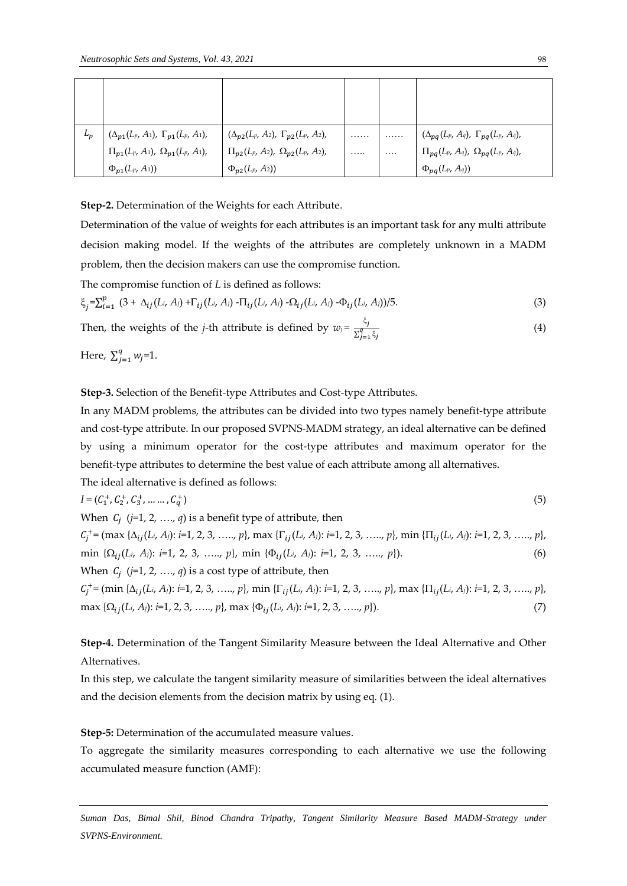| $L_p$ | $(\Delta_{p1}(L_p, A_1), \Gamma_{p1}(L_p, A_1),$ | $(\Delta_{p2}(L_p, A_2), \Gamma_{p2}(L_p, A_2),$ | . |          | $(\Delta_{pq}(L_p, A_q), \Gamma_{pq}(L_p, A_q),$ |
|-------|--------------------------------------------------|--------------------------------------------------|---|----------|--------------------------------------------------|
|       | $\Pi_{p1}(L_p, A_1), \ \Omega_{p1}(L_p, A_1),$   | $\Pi_{p2}(L_p, A_2), \ \Omega_{p2}(L_p, A_2),$   | . | $\cdots$ | $\Pi_{pq}(L_p, A_q)$ , $\Omega_{pq}(L_p, A_q)$ , |
|       | $\Phi_{p1}(L_p, A_1)$                            | $\Phi_{p2}(L_p, A_2)$                            |   |          | $\Phi_{pq}(L_p, A_q)$                            |

**Step-2.** Determination of the Weights for each Attribute.

Determination of the value of weights for each attributes is an important task for any multi attribute decision making model. If the weights of the attributes are completely unknown in a MADM problem, then the decision makers can use the compromise function.

The compromise function of *L* is defined as follows:

$$
\xi_j = \sum_{i=1}^p (3 + \Delta_{ij}(L_i, A_i) + \Gamma_{ij}(L_i, A_i) - \Pi_{ij}(L_i, A_i) - \Omega_{ij}(L_i, A_i) - \Phi_{ij}(L_i, A_i)) / 5.
$$
 (3)

Then, the weights of the *j*-th attribute is defined by 
$$
w_j = \frac{\xi_j}{\sum_{j=1}^q \xi_j}
$$
 (4)

Here,  $\sum_{j=1}^{q} w_j$  $_{j=1}^{q} w_j = 1.$ 

**Step-3.** Selection of the Benefit-type Attributes and Cost-type Attributes.

In any MADM problems, the attributes can be divided into two types namely benefit-type attribute and cost-type attribute. In our proposed SVPNS-MADM strategy, an ideal alternative can be defined by using a minimum operator for the cost-type attributes and maximum operator for the benefit-type attributes to determine the best value of each attribute among all alternatives.

The ideal alternative is defined as follows:

 $I = (C_1^+, C_2^+, C_3^+, \dots \dots, C_q^+)$  $_{q}^{+}$ ) (5) When (*j=*1, 2, …., *q*) is a benefit type of attribute, then  $C_j^+$  = (max { $\Delta_{ij}(L_i, A_j)$ : *i*=1, 2, 3, ....., p}, max { $\Gamma_{ij}(L_i, A_j)$ : *i*=1, 2, 3, ....., p}, min { $\Pi_{ij}(L_i, A_j)$ : *i*=1, 2, 3, ....., p}, min  $\{\Omega_{ij}(L_i, A_j): i=1, 2, 3, \ldots, p\}$ , min  $\{\Phi_{ij}(L_i, A_j): i=1, 2, 3, \ldots, p\}$ ). (6) When (*j=*1, 2, …., *q*) is a cost type of attribute, then  $C_j^+$  = (min { $\Delta_{ij}(L_i, A_j)$ : *i*=1, 2, 3, ....., *p*}, min { $\Gamma_{ij}(L_i, A_j)$ : *i*=1, 2, 3, ....., *p*}, max { $\Pi_{ij}(L_i, A_j)$ : *i*=1, 2, 3, ....., *p*},  $\max \{\Omega_{ij}(L_i, A_j): i=1, 2, 3, \ldots, p\}, \max \{\Phi_{ij}(L_i, A_j): i=1, 2, 3, \ldots, p\}\}.$  (7)

**Step-4.** Determination of the Tangent Similarity Measure between the Ideal Alternative and Other Alternatives.

In this step, we calculate the tangent similarity measure of similarities between the ideal alternatives and the decision elements from the decision matrix by using eq. (1).

**Step-5:** Determination of the accumulated measure values.

To aggregate the similarity measures corresponding to each alternative we use the following accumulated measure function (AMF):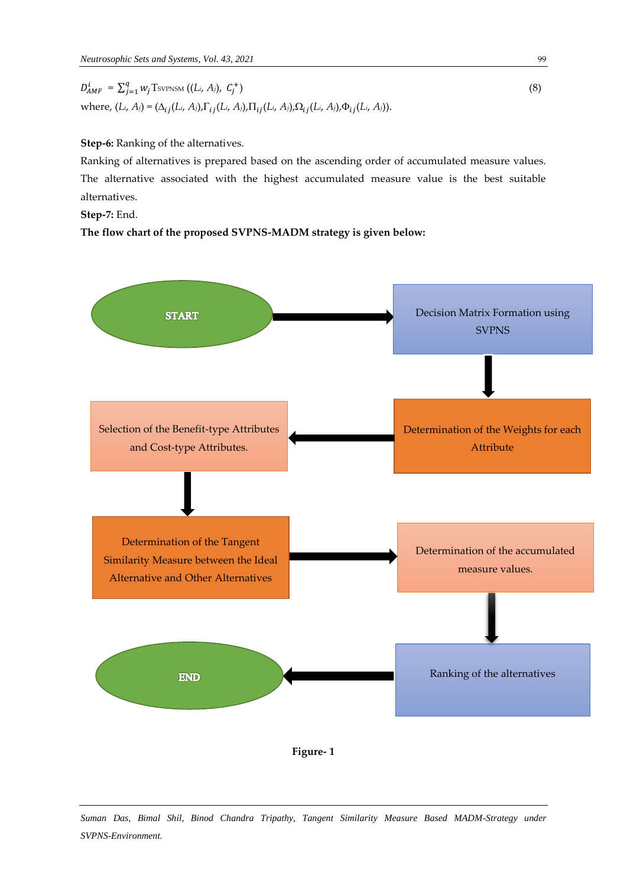$D_{AMF}^i = \sum_{j=1}^q w_j \text{Tsvpsm ((}L_i, A_j), C_j^+$ )  $(8)$ where,  $(L_i, A_j) = (\Delta_{ij}(L_i, A_j), \Gamma_{ij}(L_i, A_j), \Pi_{ij}(L_i, A_j), \Omega_{ij}(L_i, A_j), \Phi_{ij}(L_i, A_j)).$ 

**Step-6:** Ranking of the alternatives.

Ranking of alternatives is prepared based on the ascending order of accumulated measure values. The alternative associated with the highest accumulated measure value is the best suitable alternatives.

**Step-7:** End.

**The flow chart of the proposed SVPNS-MADM strategy is given below:**



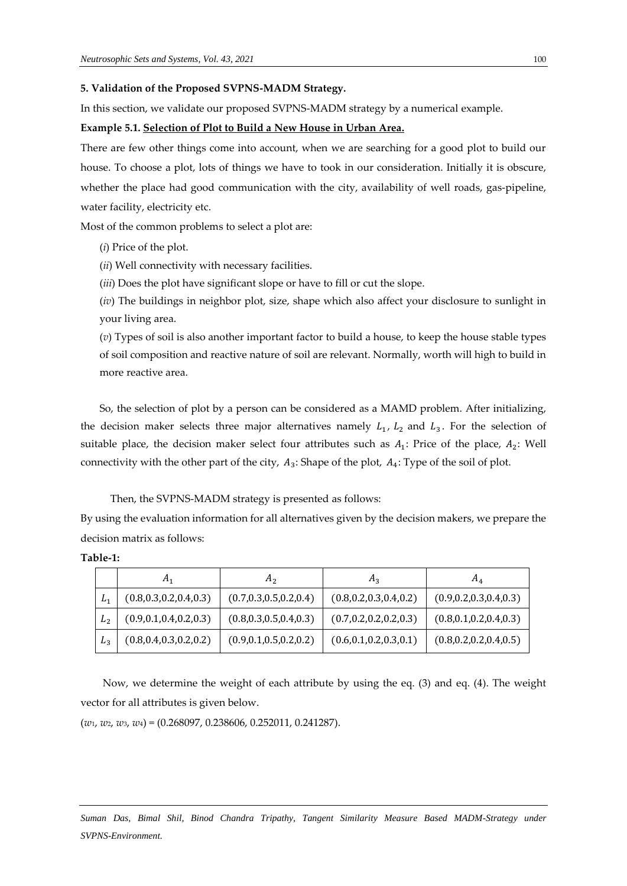#### **5. Validation of the Proposed SVPNS-MADM Strategy.**

In this section, we validate our proposed SVPNS-MADM strategy by a numerical example.

#### **Example 5.1. Selection of Plot to Build a New House in Urban Area.**

There are few other things come into account, when we are searching for a good plot to build our house. To choose a plot, lots of things we have to took in our consideration. Initially it is obscure, whether the place had good communication with the city, availability of well roads, gas-pipeline, water facility, electricity etc.

Most of the common problems to select a plot are:

(*i*) Price of the plot.

(*ii*) Well connectivity with necessary facilities.

(*iii*) Does the plot have significant slope or have to fill or cut the slope.

(*iv*) The buildings in neighbor plot, size, shape which also affect your disclosure to sunlight in your living area.

(*v*) Types of soil is also another important factor to build a house, to keep the house stable types of soil composition and reactive nature of soil are relevant. Normally, worth will high to build in more reactive area.

So, the selection of plot by a person can be considered as a MAMD problem. After initializing, the decision maker selects three major alternatives namely  $L_1$ ,  $L_2$  and  $L_3$ . For the selection of suitable place, the decision maker select four attributes such as  $A_1$ : Price of the place,  $A_2$ : Well connectivity with the other part of the city,  $A_3$ : Shape of the plot,  $A_4$ : Type of the soil of plot.

Then, the SVPNS-MADM strategy is presented as follows:

By using the evaluation information for all alternatives given by the decision makers, we prepare the decision matrix as follows:

|                | $A_1$                     | A <sub>2</sub>            | $A_3$                     | $A_4$                     |
|----------------|---------------------------|---------------------------|---------------------------|---------------------------|
| L4             | (0.8, 0.3, 0.2, 0.4, 0.3) | (0.7, 0.3, 0.5, 0.2, 0.4) | (0.8, 0.2, 0.3, 0.4, 0.2) | (0.9, 0.2, 0.3, 0.4, 0.3) |
| $L_2$          | (0.9, 0.1, 0.4, 0.2, 0.3) | (0.8, 0.3, 0.5, 0.4, 0.3) | (0.7, 0.2, 0.2, 0.2, 0.3) | (0.8, 0.1, 0.2, 0.4, 0.3) |
| L <sub>3</sub> | (0.8, 0.4, 0.3, 0.2, 0.2) | (0.9, 0.1, 0.5, 0.2, 0.2) | (0.6, 0.1, 0.2, 0.3, 0.1) | (0.8, 0.2, 0.2, 0.4, 0.5) |

Now, we determine the weight of each attribute by using the eq. (3) and eq. (4). The weight vector for all attributes is given below.

(*w*1, *w*2, *w*3, *w*4) = (0.268097, 0.238606, 0.252011, 0.241287).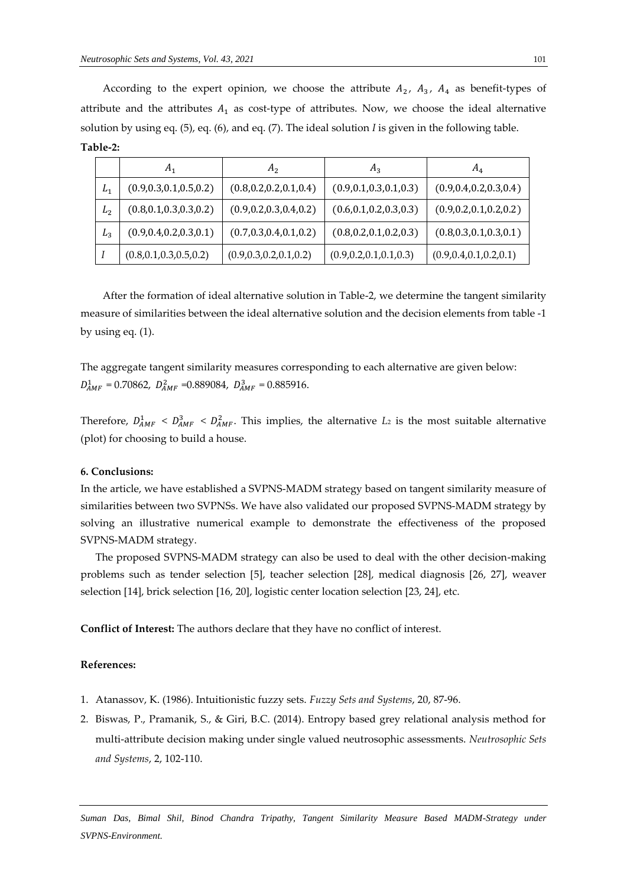According to the expert opinion, we choose the attribute  $A_2$ ,  $A_3$ ,  $A_4$  as benefit-types of attribute and the attributes  $A_1$  as cost-type of attributes. Now, we choose the ideal alternative solution by using eq. (5), eq. (6), and eq. (7). The ideal solution *I* is given in the following table. **Table-2:**

|                | $A_1$                     | A <sub>2</sub>            | $A_3$                     | $A_4$                     |
|----------------|---------------------------|---------------------------|---------------------------|---------------------------|
| $L_1$          | (0.9, 0.3, 0.1, 0.5, 0.2) | (0.8, 0.2, 0.2, 0.1, 0.4) | (0.9, 0.1, 0.3, 0.1, 0.3) | (0.9, 0.4, 0.2, 0.3, 0.4) |
| L <sub>2</sub> | (0.8, 0.1, 0.3, 0.3, 0.2) | (0.9, 0.2, 0.3, 0.4, 0.2) | (0.6, 0.1, 0.2, 0.3, 0.3) | (0.9, 0.2, 0.1, 0.2, 0.2) |
| $L_3$          | (0.9, 0.4, 0.2, 0.3, 0.1) | (0.7, 0.3, 0.4, 0.1, 0.2) | (0.8, 0.2, 0.1, 0.2, 0.3) | (0.8, 0.3, 0.1, 0.3, 0.1) |
|                | (0.8, 0.1, 0.3, 0.5, 0.2) | (0.9, 0.3, 0.2, 0.1, 0.2) | (0.9, 0.2, 0.1, 0.1, 0.3) | (0.9, 0.4, 0.1, 0.2, 0.1) |

After the formation of ideal alternative solution in Table-2, we determine the tangent similarity measure of similarities between the ideal alternative solution and the decision elements from table -1 by using eq. (1).

The aggregate tangent similarity measures corresponding to each alternative are given below:  $D_{AMF}^1 = 0.70862$ ,  $D_{AMF}^2 = 0.889084$ ,  $D_{AMF}^3 = 0.885916$ .

Therefore,  $D_{AMF}^1 < D_{AMF}^2 < D_{AMF}^2$ . This implies, the alternative *L*<sub>2</sub> is the most suitable alternative (plot) for choosing to build a house.

#### **6. Conclusions:**

In the article, we have established a SVPNS-MADM strategy based on tangent similarity measure of similarities between two SVPNSs. We have also validated our proposed SVPNS-MADM strategy by solving an illustrative numerical example to demonstrate the effectiveness of the proposed SVPNS-MADM strategy.

The proposed SVPNS-MADM strategy can also be used to deal with the other decision-making problems such as tender selection [5], teacher selection [28], medical diagnosis [26, 27], weaver selection [14], brick selection [16, 20], logistic center location selection [23, 24], etc.

**Conflict of Interest:** The authors declare that they have no conflict of interest.

#### **References:**

- 1. Atanassov, K. (1986). Intuitionistic fuzzy sets. *Fuzzy Sets and Systems*, 20, 87-96.
- 2. Biswas, P., Pramanik, S., & Giri, B.C. (2014). Entropy based grey relational analysis method for multi-attribute decision making under single valued neutrosophic assessments. *Neutrosophic Sets and Systems*, 2, 102-110.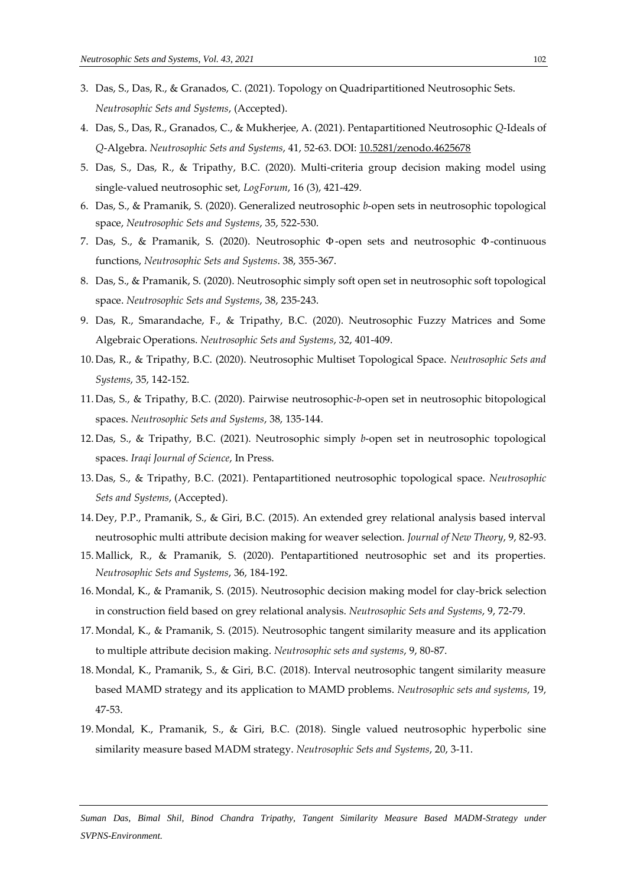- 3. Das, S., Das, R., & Granados, C. (2021). Topology on Quadripartitioned Neutrosophic Sets. *Neutrosophic Sets and Systems*, (Accepted).
- 4. Das, S., Das, R., Granados, C., & Mukherjee, A. (2021). Pentapartitioned Neutrosophic *Q*-Ideals of *Q*-Algebra. *Neutrosophic Sets and Systems*, 41, 52-63. DOI: 10.5281/zenodo.4625678
- 5. Das, S., Das, R., & Tripathy, B.C. (2020). Multi-criteria group decision making model using single-valued neutrosophic set, *LogForum*, 16 (3), 421-429.
- 6. Das, S., & Pramanik, S. (2020). Generalized neutrosophic *b*-open sets in neutrosophic topological space, *Neutrosophic Sets and Systems*, 35, 522-530.
- 7. Das, S., & Pramanik, S. (2020). Neutrosophic Φ-open sets and neutrosophic Φ-continuous functions, *Neutrosophic Sets and Systems*. 38, 355-367.
- 8. Das, S., & Pramanik, S. (2020). Neutrosophic simply soft open set in neutrosophic soft topological space. *Neutrosophic Sets and Systems*, 38, 235-243.
- 9. Das, R., Smarandache, F., & Tripathy, B.C. (2020). Neutrosophic Fuzzy Matrices and Some Algebraic Operations. *Neutrosophic Sets and Systems*, 32, 401-409.
- 10. Das, R., & Tripathy, B.C. (2020). Neutrosophic Multiset Topological Space. *Neutrosophic Sets and Systems*, 35, 142-152.
- 11. Das, S., & Tripathy, B.C. (2020). Pairwise neutrosophic-*b*-open set in neutrosophic bitopological spaces. *Neutrosophic Sets and Systems*, 38, 135-144.
- 12. Das, S., & Tripathy, B.C. (2021). Neutrosophic simply *b*-open set in neutrosophic topological spaces. *Iraqi Journal of Science*, In Press.
- 13. Das, S., & Tripathy, B.C. (2021). Pentapartitioned neutrosophic topological space. *Neutrosophic Sets and Systems*, (Accepted).
- 14. Dey, P.P., Pramanik, S., & Giri, B.C. (2015). An extended grey relational analysis based interval neutrosophic multi attribute decision making for weaver selection. *Journal of New Theory*, 9, 82-93.
- 15. Mallick, R., & Pramanik, S. (2020). Pentapartitioned neutrosophic set and its properties. *Neutrosophic Sets and Systems*, 36, 184-192.
- 16. Mondal, K., & Pramanik, S. (2015). Neutrosophic decision making model for clay-brick selection in construction field based on grey relational analysis. *Neutrosophic Sets and Systems*, 9, 72-79.
- 17. Mondal, K., & Pramanik, S. (2015). Neutrosophic tangent similarity measure and its application to multiple attribute decision making. *Neutrosophic sets and systems*, 9, 80-87.
- 18. Mondal, K., Pramanik, S., & Giri, B.C. (2018). Interval neutrosophic tangent similarity measure based MAMD strategy and its application to MAMD problems. *Neutrosophic sets and systems*, 19, 47-53.
- 19. Mondal, K., Pramanik, S., & Giri, B.C. (2018). Single valued neutrosophic hyperbolic sine similarity measure based MADM strategy. *Neutrosophic Sets and Systems*, 20, 3-11.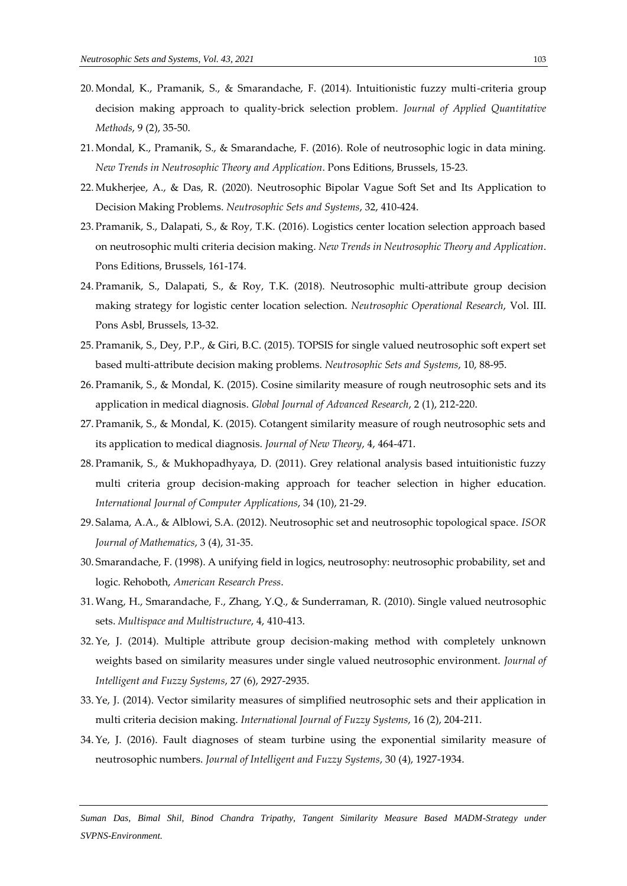- 20. Mondal, K., Pramanik, S., & Smarandache, F. (2014). Intuitionistic fuzzy multi-criteria group decision making approach to quality-brick selection problem. *Journal of Applied Quantitative Methods*, 9 (2), 35-50.
- 21. Mondal, K., Pramanik, S., & Smarandache, F. (2016). Role of neutrosophic logic in data mining. *New Trends in Neutrosophic Theory and Application*. Pons Editions, Brussels, 15-23.
- 22. Mukherjee, A., & Das, R. (2020). Neutrosophic Bipolar Vague Soft Set and Its Application to Decision Making Problems. *Neutrosophic Sets and Systems*, 32, 410-424.
- 23. Pramanik, S., Dalapati, S., & Roy, T.K. (2016). Logistics center location selection approach based on neutrosophic multi criteria decision making. *New Trends in Neutrosophic Theory and Application*. Pons Editions, Brussels, 161-174.
- 24. Pramanik, S., Dalapati, S., & Roy, T.K. (2018). Neutrosophic multi-attribute group decision making strategy for logistic center location selection. *Neutrosophic Operational Research*, Vol. III. Pons Asbl, Brussels, 13-32.
- 25. Pramanik, S., Dey, P.P., & Giri, B.C. (2015). TOPSIS for single valued neutrosophic soft expert set based multi-attribute decision making problems. *Neutrosophic Sets and Systems*, 10, 88-95.
- 26. Pramanik, S., & Mondal, K. (2015). Cosine similarity measure of rough neutrosophic sets and its application in medical diagnosis. *Global Journal of Advanced Research*, 2 (1), 212-220.
- 27. Pramanik, S., & Mondal, K. (2015). Cotangent similarity measure of rough neutrosophic sets and its application to medical diagnosis. *Journal of New Theory*, 4, 464-471.
- 28. Pramanik, S., & Mukhopadhyaya, D. (2011). Grey relational analysis based intuitionistic fuzzy multi criteria group decision-making approach for teacher selection in higher education. *International Journal of Computer Applications*, 34 (10), 21-29.
- 29. Salama, A.A., & Alblowi, S.A. (2012). Neutrosophic set and neutrosophic topological space. *ISOR Journal of Mathematics*, 3 (4), 31-35.
- 30. Smarandache, F. (1998). A unifying field in logics, neutrosophy: neutrosophic probability, set and logic. Rehoboth, *American Research Press*.
- 31.Wang, H., Smarandache, F., Zhang, Y.Q., & Sunderraman, R. (2010). Single valued neutrosophic sets. *Multispace and Multistructure*, 4, 410-413.
- 32.Ye, J. (2014). Multiple attribute group decision-making method with completely unknown weights based on similarity measures under single valued neutrosophic environment. *Journal of Intelligent and Fuzzy Systems*, 27 (6), 2927-2935.
- 33.Ye, J. (2014). Vector similarity measures of simplified neutrosophic sets and their application in multi criteria decision making. *International Journal of Fuzzy Systems*, 16 (2), 204-211.
- 34.Ye, J. (2016). Fault diagnoses of steam turbine using the exponential similarity measure of neutrosophic numbers. *Journal of Intelligent and Fuzzy Systems*, 30 (4), 1927-1934.